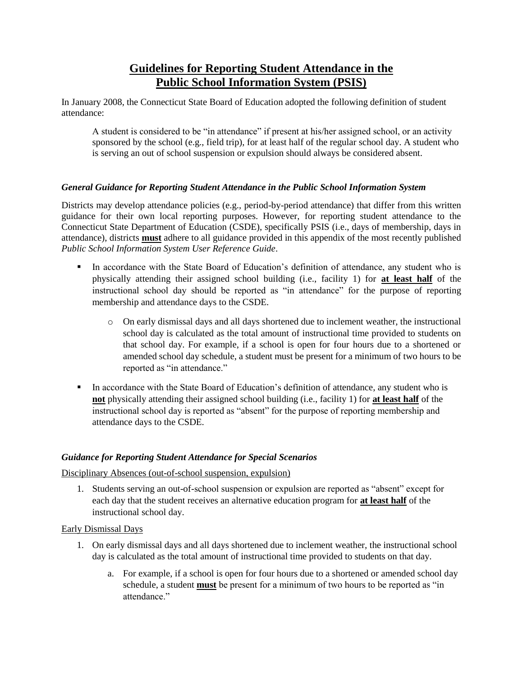# **Guidelines for Reporting Student Attendance in the Public School Information System (PSIS)**

In January 2008, the Connecticut State Board of Education adopted the following definition of student attendance:

A student is considered to be "in attendance" if present at his/her assigned school, or an activity sponsored by the school (e.g., field trip), for at least half of the regular school day. A student who is serving an out of school suspension or expulsion should always be considered absent.

## *General Guidance for Reporting Student Attendance in the Public School Information System*

Districts may develop attendance policies (e.g., period-by-period attendance) that differ from this written guidance for their own local reporting purposes. However, for reporting student attendance to the Connecticut State Department of Education (CSDE), specifically PSIS (i.e., days of membership, days in attendance), districts **must** adhere to all guidance provided in this appendix of the most recently published *Public School Information System User Reference Guide*.

- In accordance with the State Board of Education's definition of attendance, any student who is physically attending their assigned school building (i.e., facility 1) for **at least half** of the instructional school day should be reported as "in attendance" for the purpose of reporting membership and attendance days to the CSDE.
	- o On early dismissal days and all days shortened due to inclement weather, the instructional school day is calculated as the total amount of instructional time provided to students on that school day. For example, if a school is open for four hours due to a shortened or amended school day schedule, a student must be present for a minimum of two hours to be reported as "in attendance."
- In accordance with the State Board of Education's definition of attendance, any student who is **not** physically attending their assigned school building (i.e., facility 1) for **at least half** of the instructional school day is reported as "absent" for the purpose of reporting membership and attendance days to the CSDE.

## *Guidance for Reporting Student Attendance for Special Scenarios*

Disciplinary Absences (out-of-school suspension, expulsion)

1. Students serving an out-of-school suspension or expulsion are reported as "absent" except for each day that the student receives an alternative education program for **at least half** of the instructional school day.

## Early Dismissal Days

- 1. On early dismissal days and all days shortened due to inclement weather, the instructional school day is calculated as the total amount of instructional time provided to students on that day.
	- a. For example, if a school is open for four hours due to a shortened or amended school day schedule, a student **must** be present for a minimum of two hours to be reported as "in attendance."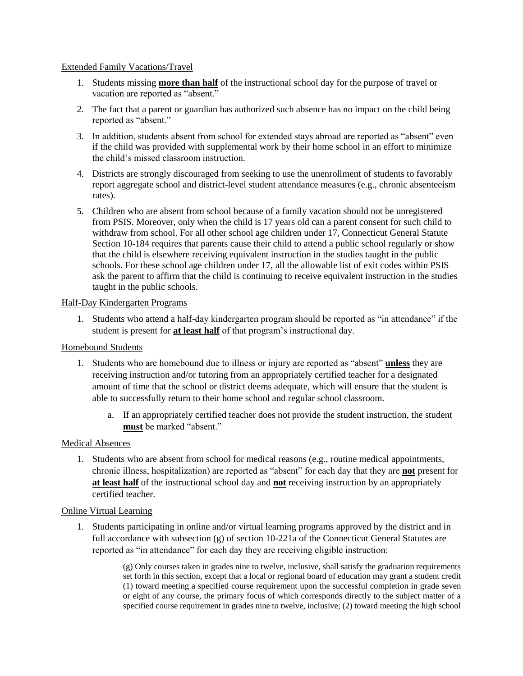### Extended Family Vacations/Travel

- 1. Students missing **more than half** of the instructional school day for the purpose of travel or vacation are reported as "absent."
- 2. The fact that a parent or guardian has authorized such absence has no impact on the child being reported as "absent."
- 3. In addition, students absent from school for extended stays abroad are reported as "absent" even if the child was provided with supplemental work by their home school in an effort to minimize the child's missed classroom instruction.
- 4. Districts are strongly discouraged from seeking to use the unenrollment of students to favorably report aggregate school and district-level student attendance measures (e.g., chronic absenteeism rates).
- 5. Children who are absent from school because of a family vacation should not be unregistered from PSIS. Moreover, only when the child is 17 years old can a parent consent for such child to withdraw from school. For all other school age children under 17, Connecticut General Statute Section 10-184 requires that parents cause their child to attend a public school regularly or show that the child is elsewhere receiving equivalent instruction in the studies taught in the public schools. For these school age children under 17, all the allowable list of exit codes within PSIS ask the parent to affirm that the child is continuing to receive equivalent instruction in the studies taught in the public schools.

## Half-Day Kindergarten Programs

1. Students who attend a half-day kindergarten program should be reported as "in attendance" if the student is present for **at least half** of that program's instructional day.

## Homebound Students

- 1. Students who are homebound due to illness or injury are reported as "absent" **unless** they are receiving instruction and/or tutoring from an appropriately certified teacher for a designated amount of time that the school or district deems adequate, which will ensure that the student is able to successfully return to their home school and regular school classroom.
	- a. If an appropriately certified teacher does not provide the student instruction, the student **must** be marked "absent."

#### Medical Absences

1. Students who are absent from school for medical reasons (e.g., routine medical appointments, chronic illness, hospitalization) are reported as "absent" for each day that they are **not** present for **at least half** of the instructional school day and **not** receiving instruction by an appropriately certified teacher.

#### Online Virtual Learning

1. Students participating in online and/or virtual learning programs approved by the district and in full accordance with subsection (g) of section 10-221a of the Connecticut General Statutes are reported as "in attendance" for each day they are receiving eligible instruction:

> (g) Only courses taken in grades nine to twelve, inclusive, shall satisfy the graduation requirements set forth in this section, except that a local or regional board of education may grant a student credit (1) toward meeting a specified course requirement upon the successful completion in grade seven or eight of any course, the primary focus of which corresponds directly to the subject matter of a specified course requirement in grades nine to twelve, inclusive; (2) toward meeting the high school